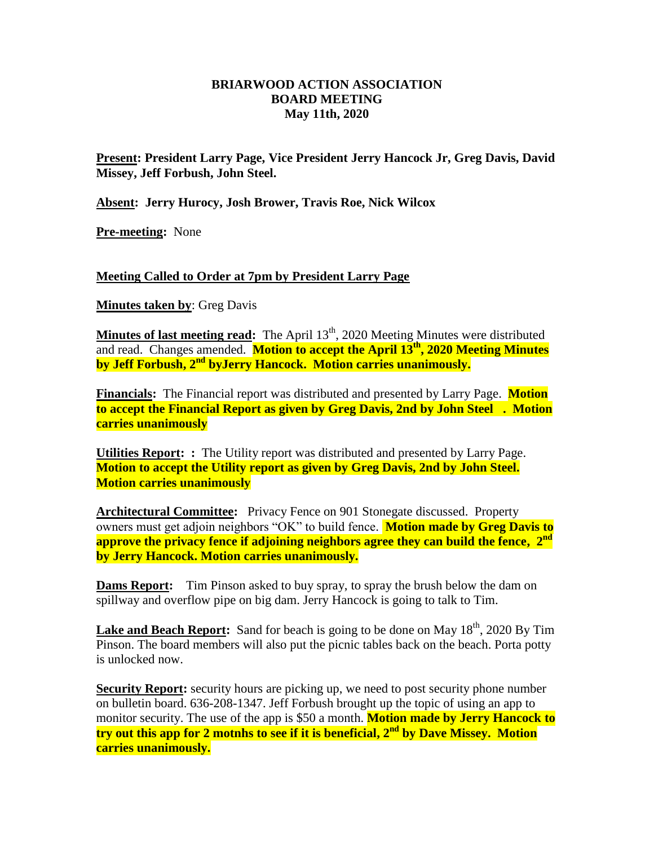#### **BRIARWOOD ACTION ASSOCIATION BOARD MEETING May 11th, 2020**

**Present: President Larry Page, Vice President Jerry Hancock Jr, Greg Davis, David Missey, Jeff Forbush, John Steel.**

**Absent: Jerry Hurocy, Josh Brower, Travis Roe, Nick Wilcox**

**Pre-meeting:** None

## **Meeting Called to Order at 7pm by President Larry Page**

**Minutes taken by**: Greg Davis

**Minutes of last meeting read:** The April 13<sup>th</sup>, 2020 Meeting Minutes were distributed and read. Changes amended. **Motion to accept the April 13th, 2020 Meeting Minutes by Jeff Forbush, 2nd byJerry Hancock. Motion carries unanimously.**

**Financials:** The Financial report was distributed and presented by Larry Page. **Motion to accept the Financial Report as given by Greg Davis, 2nd by John Steel . Motion carries unanimously** 

**Utilities Report: :** The Utility report was distributed and presented by Larry Page. **Motion to accept the Utility report as given by Greg Davis, 2nd by John Steel. Motion carries unanimously** 

**Architectural Committee:** Privacy Fence on 901 Stonegate discussed. Property owners must get adjoin neighbors "OK" to build fence. **Motion made by Greg Davis to approve the privacy fence if adjoining neighbors agree they can build the fence, 2 nd by Jerry Hancock. Motion carries unanimously.**

**Dams Report:** Tim Pinson asked to buy spray, to spray the brush below the dam on spillway and overflow pipe on big dam. Jerry Hancock is going to talk to Tim.

**Lake and Beach Report:** Sand for beach is going to be done on May  $18<sup>th</sup>$ , 2020 By Tim Pinson. The board members will also put the picnic tables back on the beach. Porta potty is unlocked now.

**Security Report:** security hours are picking up, we need to post security phone number on bulletin board. 636-208-1347. Jeff Forbush brought up the topic of using an app to monitor security. The use of the app is \$50 a month. **Motion made by Jerry Hancock to try out this app for 2 motnhs to see if it is beneficial, 2 nd by Dave Missey. Motion carries unanimously.**